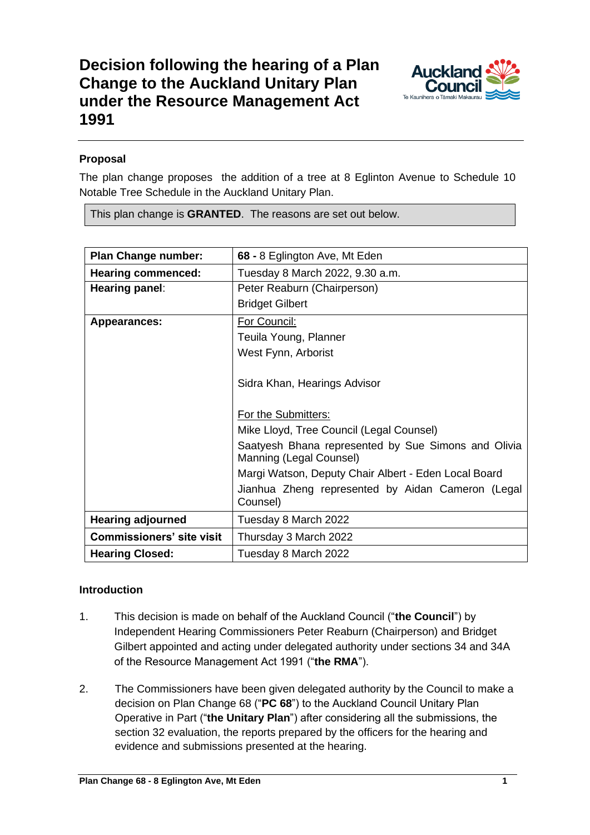

# **Proposal**

The plan change proposes the addition of a tree at 8 Eglinton Avenue to Schedule 10 Notable Tree Schedule in the Auckland Unitary Plan.

This plan change is **GRANTED**. The reasons are set out below.

| <b>Plan Change number:</b>       | 68 - 8 Eglington Ave, Mt Eden                                                  |
|----------------------------------|--------------------------------------------------------------------------------|
| <b>Hearing commenced:</b>        | Tuesday 8 March 2022, 9.30 a.m.                                                |
| Hearing panel:                   | Peter Reaburn (Chairperson)                                                    |
|                                  | <b>Bridget Gilbert</b>                                                         |
| <b>Appearances:</b>              | For Council:                                                                   |
|                                  | Teuila Young, Planner                                                          |
|                                  | West Fynn, Arborist                                                            |
|                                  | Sidra Khan, Hearings Advisor                                                   |
|                                  | For the Submitters:                                                            |
|                                  | Mike Lloyd, Tree Council (Legal Counsel)                                       |
|                                  | Saatyesh Bhana represented by Sue Simons and Olivia<br>Manning (Legal Counsel) |
|                                  | Margi Watson, Deputy Chair Albert - Eden Local Board                           |
|                                  | Jianhua Zheng represented by Aidan Cameron (Legal<br>Counsel)                  |
| <b>Hearing adjourned</b>         | Tuesday 8 March 2022                                                           |
| <b>Commissioners' site visit</b> | Thursday 3 March 2022                                                          |
| <b>Hearing Closed:</b>           | Tuesday 8 March 2022                                                           |

## **Introduction**

- 1. This decision is made on behalf of the Auckland Council ("**the Council**") by Independent Hearing Commissioners Peter Reaburn (Chairperson) and Bridget Gilbert appointed and acting under delegated authority under sections 34 and 34A of the Resource Management Act 1991 ("**the RMA**").
- 2. The Commissioners have been given delegated authority by the Council to make a decision on Plan Change 68 ("**PC 68**") to the Auckland Council Unitary Plan Operative in Part ("**the Unitary Plan**") after considering all the submissions, the section 32 evaluation, the reports prepared by the officers for the hearing and evidence and submissions presented at the hearing.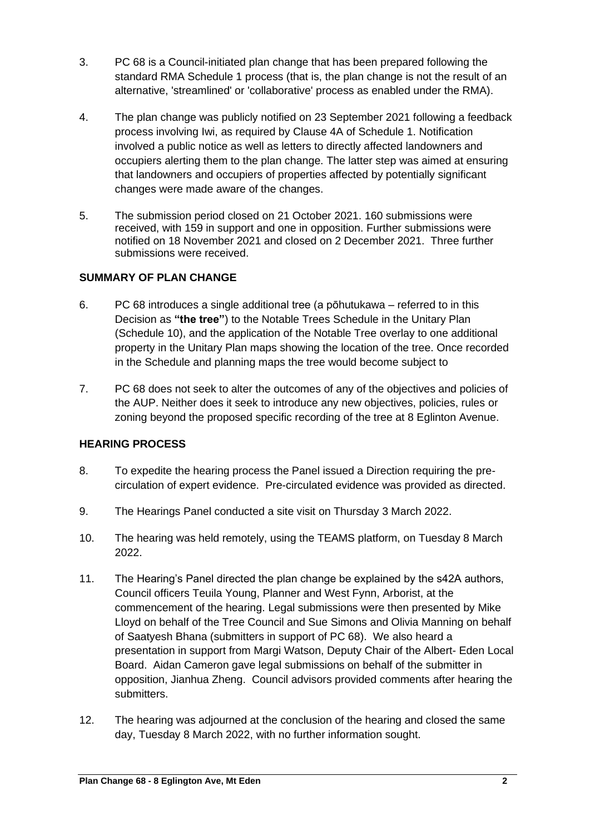- 3. PC 68 is a Council-initiated plan change that has been prepared following the standard RMA Schedule 1 process (that is, the plan change is not the result of an alternative, 'streamlined' or 'collaborative' process as enabled under the RMA).
- 4. The plan change was publicly notified on 23 September 2021 following a feedback process involving Iwi, as required by Clause 4A of Schedule 1. Notification involved a public notice as well as letters to directly affected landowners and occupiers alerting them to the plan change. The latter step was aimed at ensuring that landowners and occupiers of properties affected by potentially significant changes were made aware of the changes.
- 5. The submission period closed on 21 October 2021. 160 submissions were received, with 159 in support and one in opposition. Further submissions were notified on 18 November 2021 and closed on 2 December 2021. Three further submissions were received.

## **SUMMARY OF PLAN CHANGE**

- 6. PC 68 introduces a single additional tree (a pōhutukawa referred to in this Decision as **"the tree"**) to the Notable Trees Schedule in the Unitary Plan (Schedule 10), and the application of the Notable Tree overlay to one additional property in the Unitary Plan maps showing the location of the tree. Once recorded in the Schedule and planning maps the tree would become subject to
- 7. PC 68 does not seek to alter the outcomes of any of the objectives and policies of the AUP. Neither does it seek to introduce any new objectives, policies, rules or zoning beyond the proposed specific recording of the tree at 8 Eglinton Avenue.

## **HEARING PROCESS**

- 8. To expedite the hearing process the Panel issued a Direction requiring the precirculation of expert evidence. Pre-circulated evidence was provided as directed.
- 9. The Hearings Panel conducted a site visit on Thursday 3 March 2022.
- 10. The hearing was held remotely, using the TEAMS platform, on Tuesday 8 March 2022.
- 11. The Hearing's Panel directed the plan change be explained by the s42A authors, Council officers Teuila Young, Planner and West Fynn, Arborist, at the commencement of the hearing. Legal submissions were then presented by Mike Lloyd on behalf of the Tree Council and Sue Simons and Olivia Manning on behalf of Saatyesh Bhana (submitters in support of PC 68). We also heard a presentation in support from Margi Watson, Deputy Chair of the Albert- Eden Local Board. Aidan Cameron gave legal submissions on behalf of the submitter in opposition, Jianhua Zheng. Council advisors provided comments after hearing the submitters.
- 12. The hearing was adjourned at the conclusion of the hearing and closed the same day, Tuesday 8 March 2022, with no further information sought.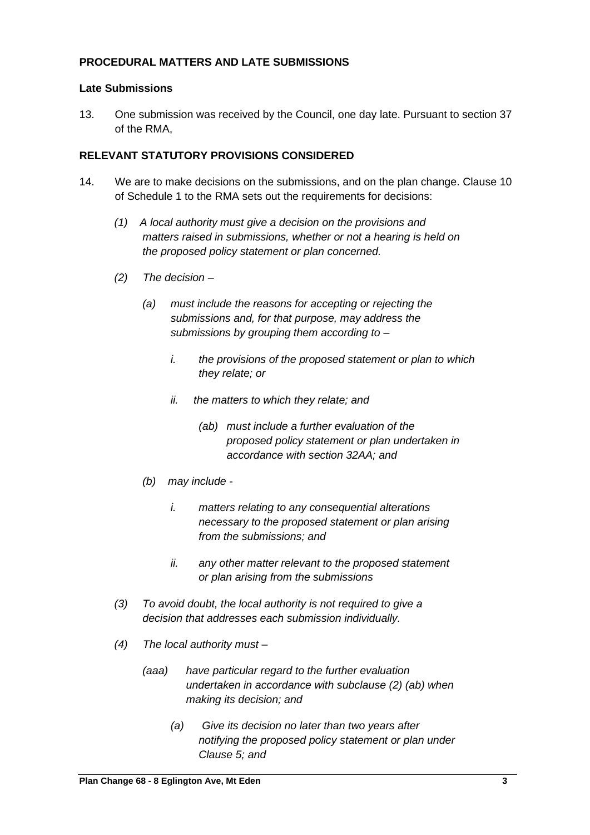## **PROCEDURAL MATTERS AND LATE SUBMISSIONS**

#### **Late Submissions**

13. One submission was received by the Council, one day late. Pursuant to section 37 of the RMA,

#### **RELEVANT STATUTORY PROVISIONS CONSIDERED**

- 14. We are to make decisions on the submissions, and on the plan change. Clause 10 of Schedule 1 to the RMA sets out the requirements for decisions:
	- *(1) A local authority must give a decision on the provisions and matters raised in submissions, whether or not a hearing is held on the proposed policy statement or plan concerned.*
	- *(2) The decision –*
		- *(a) must include the reasons for accepting or rejecting the submissions and, for that purpose, may address the submissions by grouping them according to –*
			- *i. the provisions of the proposed statement or plan to which they relate; or*
			- *ii. the matters to which they relate; and*
				- *(ab) must include a further evaluation of the proposed policy statement or plan undertaken in accordance with section 32AA; and*
		- *(b) may include* 
			- *i. matters relating to any consequential alterations necessary to the proposed statement or plan arising from the submissions; and*
			- *ii. any other matter relevant to the proposed statement or plan arising from the submissions*
	- *(3) To avoid doubt, the local authority is not required to give a decision that addresses each submission individually.*
	- *(4) The local authority must –*
		- *(aaa) have particular regard to the further evaluation undertaken in accordance with subclause (2) (ab) when making its decision; and*
			- *(a) Give its decision no later than two years after notifying the proposed policy statement or plan under Clause 5; and*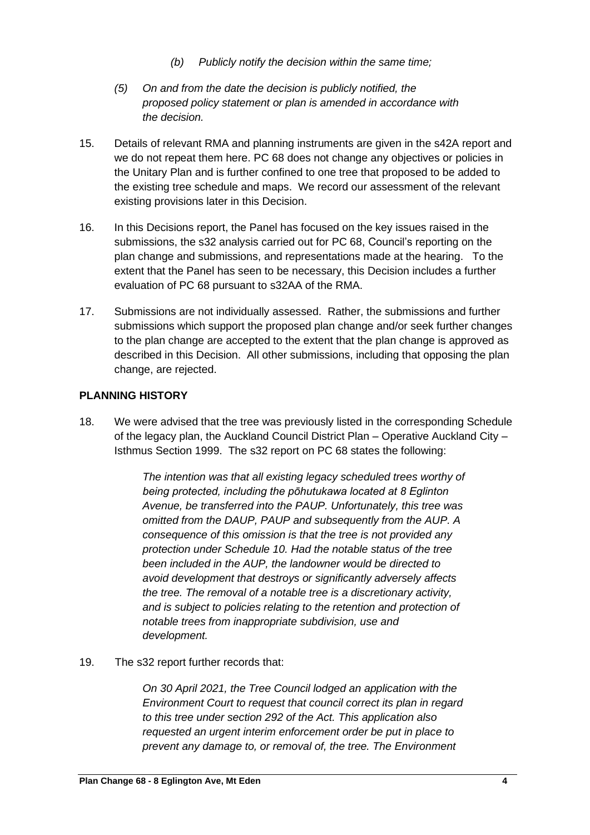- *(b) Publicly notify the decision within the same time;*
- *(5) On and from the date the decision is publicly notified, the proposed policy statement or plan is amended in accordance with the decision.*
- 15. Details of relevant RMA and planning instruments are given in the s42A report and we do not repeat them here. PC 68 does not change any objectives or policies in the Unitary Plan and is further confined to one tree that proposed to be added to the existing tree schedule and maps. We record our assessment of the relevant existing provisions later in this Decision.
- 16. In this Decisions report, the Panel has focused on the key issues raised in the submissions, the s32 analysis carried out for PC 68, Council's reporting on the plan change and submissions, and representations made at the hearing. To the extent that the Panel has seen to be necessary, this Decision includes a further evaluation of PC 68 pursuant to s32AA of the RMA.
- 17. Submissions are not individually assessed. Rather, the submissions and further submissions which support the proposed plan change and/or seek further changes to the plan change are accepted to the extent that the plan change is approved as described in this Decision. All other submissions, including that opposing the plan change, are rejected.

### **PLANNING HISTORY**

18. We were advised that the tree was previously listed in the corresponding Schedule of the legacy plan, the Auckland Council District Plan – Operative Auckland City – Isthmus Section 1999. The s32 report on PC 68 states the following:

> *The intention was that all existing legacy scheduled trees worthy of being protected, including the pōhutukawa located at 8 Eglinton Avenue, be transferred into the PAUP. Unfortunately, this tree was omitted from the DAUP, PAUP and subsequently from the AUP. A consequence of this omission is that the tree is not provided any protection under Schedule 10. Had the notable status of the tree been included in the AUP, the landowner would be directed to avoid development that destroys or significantly adversely affects the tree. The removal of a notable tree is a discretionary activity, and is subject to policies relating to the retention and protection of notable trees from inappropriate subdivision, use and development.*

19. The s32 report further records that:

*On 30 April 2021, the Tree Council lodged an application with the Environment Court to request that council correct its plan in regard to this tree under section 292 of the Act. This application also requested an urgent interim enforcement order be put in place to prevent any damage to, or removal of, the tree. The Environment*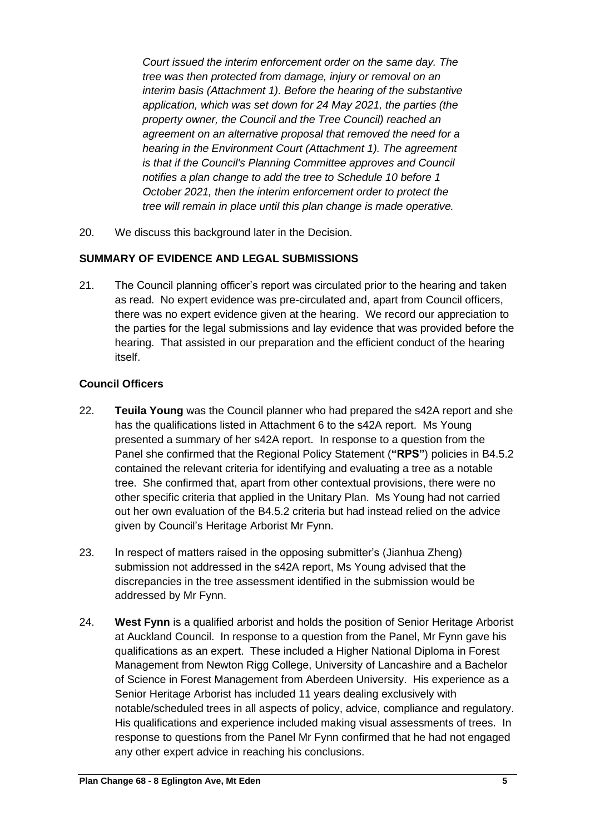*Court issued the interim enforcement order on the same day. The tree was then protected from damage, injury or removal on an interim basis (Attachment 1). Before the hearing of the substantive application, which was set down for 24 May 2021, the parties (the property owner, the Council and the Tree Council) reached an agreement on an alternative proposal that removed the need for a hearing in the Environment Court (Attachment 1). The agreement is that if the Council's Planning Committee approves and Council notifies a plan change to add the tree to Schedule 10 before 1 October 2021, then the interim enforcement order to protect the tree will remain in place until this plan change is made operative.*

20. We discuss this background later in the Decision.

## **SUMMARY OF EVIDENCE AND LEGAL SUBMISSIONS**

21. The Council planning officer's report was circulated prior to the hearing and taken as read. No expert evidence was pre-circulated and, apart from Council officers, there was no expert evidence given at the hearing. We record our appreciation to the parties for the legal submissions and lay evidence that was provided before the hearing. That assisted in our preparation and the efficient conduct of the hearing itself.

### **Council Officers**

- 22. **Teuila Young** was the Council planner who had prepared the s42A report and she has the qualifications listed in Attachment 6 to the s42A report. Ms Young presented a summary of her s42A report. In response to a question from the Panel she confirmed that the Regional Policy Statement (**"RPS"**) policies in B4.5.2 contained the relevant criteria for identifying and evaluating a tree as a notable tree. She confirmed that, apart from other contextual provisions, there were no other specific criteria that applied in the Unitary Plan. Ms Young had not carried out her own evaluation of the B4.5.2 criteria but had instead relied on the advice given by Council's Heritage Arborist Mr Fynn.
- 23. In respect of matters raised in the opposing submitter's (Jianhua Zheng) submission not addressed in the s42A report, Ms Young advised that the discrepancies in the tree assessment identified in the submission would be addressed by Mr Fynn.
- 24. **West Fynn** is a qualified arborist and holds the position of Senior Heritage Arborist at Auckland Council. In response to a question from the Panel, Mr Fynn gave his qualifications as an expert. These included a Higher National Diploma in Forest Management from Newton Rigg College, University of Lancashire and a Bachelor of Science in Forest Management from Aberdeen University. His experience as a Senior Heritage Arborist has included 11 years dealing exclusively with notable/scheduled trees in all aspects of policy, advice, compliance and regulatory. His qualifications and experience included making visual assessments of trees. In response to questions from the Panel Mr Fynn confirmed that he had not engaged any other expert advice in reaching his conclusions.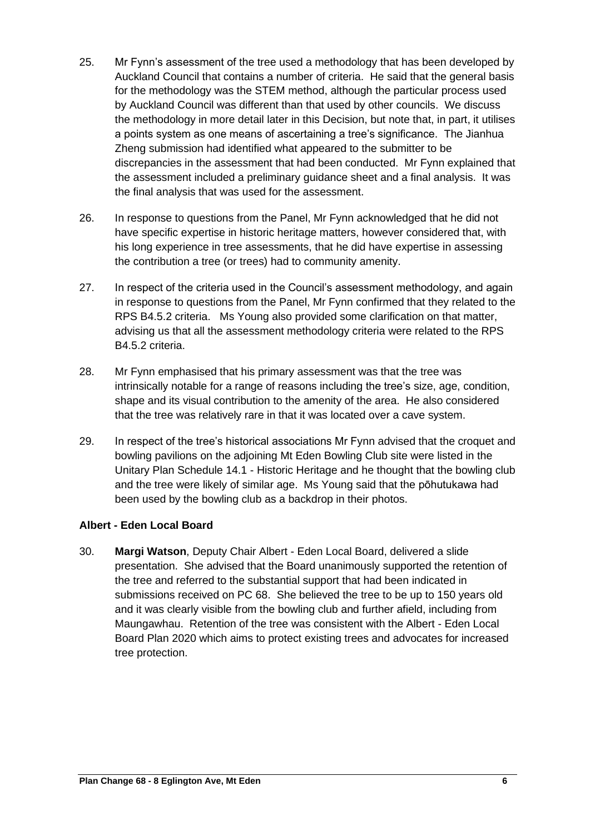- 25. Mr Fynn's assessment of the tree used a methodology that has been developed by Auckland Council that contains a number of criteria. He said that the general basis for the methodology was the STEM method, although the particular process used by Auckland Council was different than that used by other councils. We discuss the methodology in more detail later in this Decision, but note that, in part, it utilises a points system as one means of ascertaining a tree's significance. The Jianhua Zheng submission had identified what appeared to the submitter to be discrepancies in the assessment that had been conducted. Mr Fynn explained that the assessment included a preliminary guidance sheet and a final analysis. It was the final analysis that was used for the assessment.
- 26. In response to questions from the Panel, Mr Fynn acknowledged that he did not have specific expertise in historic heritage matters, however considered that, with his long experience in tree assessments, that he did have expertise in assessing the contribution a tree (or trees) had to community amenity.
- 27. In respect of the criteria used in the Council's assessment methodology, and again in response to questions from the Panel, Mr Fynn confirmed that they related to the RPS B4.5.2 criteria. Ms Young also provided some clarification on that matter, advising us that all the assessment methodology criteria were related to the RPS B4.5.2 criteria.
- 28. Mr Fynn emphasised that his primary assessment was that the tree was intrinsically notable for a range of reasons including the tree's size, age, condition, shape and its visual contribution to the amenity of the area. He also considered that the tree was relatively rare in that it was located over a cave system.
- 29. In respect of the tree's historical associations Mr Fynn advised that the croquet and bowling pavilions on the adjoining Mt Eden Bowling Club site were listed in the Unitary Plan Schedule 14.1 - Historic Heritage and he thought that the bowling club and the tree were likely of similar age. Ms Young said that the pōhutukawa had been used by the bowling club as a backdrop in their photos.

## **Albert - Eden Local Board**

30. **Margi Watson**, Deputy Chair Albert - Eden Local Board, delivered a slide presentation. She advised that the Board unanimously supported the retention of the tree and referred to the substantial support that had been indicated in submissions received on PC 68. She believed the tree to be up to 150 years old and it was clearly visible from the bowling club and further afield, including from Maungawhau. Retention of the tree was consistent with the Albert - Eden Local Board Plan 2020 which aims to protect existing trees and advocates for increased tree protection.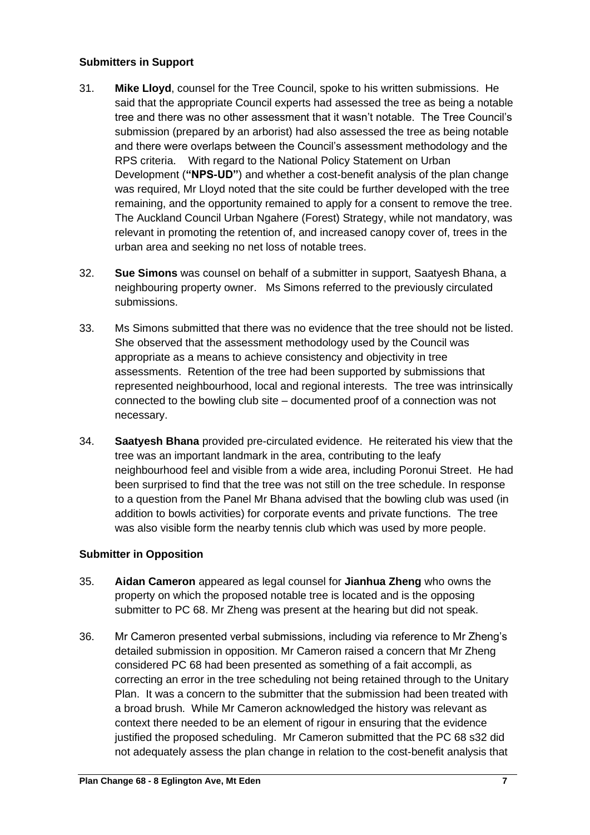### **Submitters in Support**

- 31. **Mike Lloyd**, counsel for the Tree Council, spoke to his written submissions. He said that the appropriate Council experts had assessed the tree as being a notable tree and there was no other assessment that it wasn't notable. The Tree Council's submission (prepared by an arborist) had also assessed the tree as being notable and there were overlaps between the Council's assessment methodology and the RPS criteria. With regard to the National Policy Statement on Urban Development (**"NPS-UD"**) and whether a cost-benefit analysis of the plan change was required, Mr Lloyd noted that the site could be further developed with the tree remaining, and the opportunity remained to apply for a consent to remove the tree. The Auckland Council Urban Ngahere (Forest) Strategy, while not mandatory, was relevant in promoting the retention of, and increased canopy cover of, trees in the urban area and seeking no net loss of notable trees.
- 32. **Sue Simons** was counsel on behalf of a submitter in support, Saatyesh Bhana, a neighbouring property owner. Ms Simons referred to the previously circulated submissions.
- 33. Ms Simons submitted that there was no evidence that the tree should not be listed. She observed that the assessment methodology used by the Council was appropriate as a means to achieve consistency and objectivity in tree assessments. Retention of the tree had been supported by submissions that represented neighbourhood, local and regional interests. The tree was intrinsically connected to the bowling club site – documented proof of a connection was not necessary.
- 34. **Saatyesh Bhana** provided pre-circulated evidence. He reiterated his view that the tree was an important landmark in the area, contributing to the leafy neighbourhood feel and visible from a wide area, including Poronui Street. He had been surprised to find that the tree was not still on the tree schedule. In response to a question from the Panel Mr Bhana advised that the bowling club was used (in addition to bowls activities) for corporate events and private functions. The tree was also visible form the nearby tennis club which was used by more people.

## **Submitter in Opposition**

- 35. **Aidan Cameron** appeared as legal counsel for **Jianhua Zheng** who owns the property on which the proposed notable tree is located and is the opposing submitter to PC 68. Mr Zheng was present at the hearing but did not speak.
- 36. Mr Cameron presented verbal submissions, including via reference to Mr Zheng's detailed submission in opposition. Mr Cameron raised a concern that Mr Zheng considered PC 68 had been presented as something of a fait accompli, as correcting an error in the tree scheduling not being retained through to the Unitary Plan. It was a concern to the submitter that the submission had been treated with a broad brush. While Mr Cameron acknowledged the history was relevant as context there needed to be an element of rigour in ensuring that the evidence justified the proposed scheduling. Mr Cameron submitted that the PC 68 s32 did not adequately assess the plan change in relation to the cost-benefit analysis that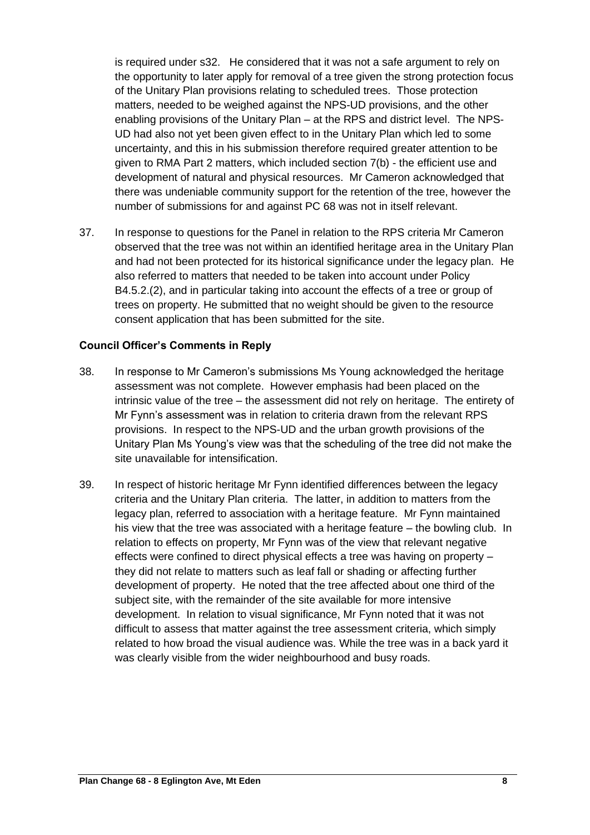is required under s32. He considered that it was not a safe argument to rely on the opportunity to later apply for removal of a tree given the strong protection focus of the Unitary Plan provisions relating to scheduled trees. Those protection matters, needed to be weighed against the NPS-UD provisions, and the other enabling provisions of the Unitary Plan – at the RPS and district level. The NPS-UD had also not yet been given effect to in the Unitary Plan which led to some uncertainty, and this in his submission therefore required greater attention to be given to RMA Part 2 matters, which included section 7(b) - the efficient use and development of natural and physical resources. Mr Cameron acknowledged that there was undeniable community support for the retention of the tree, however the number of submissions for and against PC 68 was not in itself relevant.

37. In response to questions for the Panel in relation to the RPS criteria Mr Cameron observed that the tree was not within an identified heritage area in the Unitary Plan and had not been protected for its historical significance under the legacy plan. He also referred to matters that needed to be taken into account under Policy B4.5.2.(2), and in particular taking into account the effects of a tree or group of trees on property. He submitted that no weight should be given to the resource consent application that has been submitted for the site.

#### **Council Officer's Comments in Reply**

- 38. In response to Mr Cameron's submissions Ms Young acknowledged the heritage assessment was not complete. However emphasis had been placed on the intrinsic value of the tree – the assessment did not rely on heritage. The entirety of Mr Fynn's assessment was in relation to criteria drawn from the relevant RPS provisions. In respect to the NPS-UD and the urban growth provisions of the Unitary Plan Ms Young's view was that the scheduling of the tree did not make the site unavailable for intensification.
- 39. In respect of historic heritage Mr Fynn identified differences between the legacy criteria and the Unitary Plan criteria. The latter, in addition to matters from the legacy plan, referred to association with a heritage feature. Mr Fynn maintained his view that the tree was associated with a heritage feature – the bowling club. In relation to effects on property, Mr Fynn was of the view that relevant negative effects were confined to direct physical effects a tree was having on property – they did not relate to matters such as leaf fall or shading or affecting further development of property. He noted that the tree affected about one third of the subject site, with the remainder of the site available for more intensive development. In relation to visual significance, Mr Fynn noted that it was not difficult to assess that matter against the tree assessment criteria, which simply related to how broad the visual audience was. While the tree was in a back yard it was clearly visible from the wider neighbourhood and busy roads.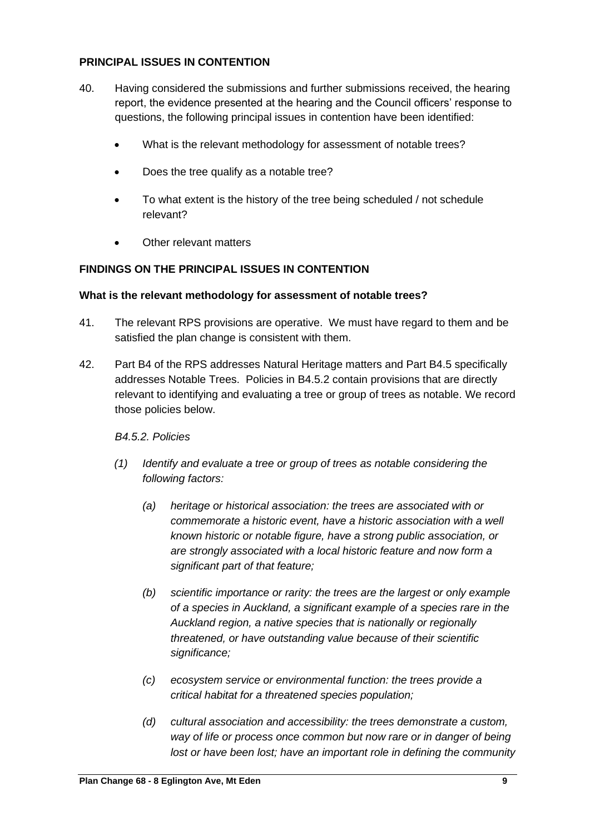### **PRINCIPAL ISSUES IN CONTENTION**

- 40. Having considered the submissions and further submissions received, the hearing report, the evidence presented at the hearing and the Council officers' response to questions, the following principal issues in contention have been identified:
	- What is the relevant methodology for assessment of notable trees?
	- Does the tree qualify as a notable tree?
	- To what extent is the history of the tree being scheduled / not schedule relevant?
	- **Other relevant matters**

## **FINDINGS ON THE PRINCIPAL ISSUES IN CONTENTION**

#### **What is the relevant methodology for assessment of notable trees?**

- 41. The relevant RPS provisions are operative. We must have regard to them and be satisfied the plan change is consistent with them.
- 42. Part B4 of the RPS addresses Natural Heritage matters and Part B4.5 specifically addresses Notable Trees. Policies in B4.5.2 contain provisions that are directly relevant to identifying and evaluating a tree or group of trees as notable. We record those policies below.

## *B4.5.2. Policies*

- *(1) Identify and evaluate a tree or group of trees as notable considering the following factors:* 
	- *(a) heritage or historical association: the trees are associated with or commemorate a historic event, have a historic association with a well known historic or notable figure, have a strong public association, or are strongly associated with a local historic feature and now form a significant part of that feature;*
	- *(b) scientific importance or rarity: the trees are the largest or only example of a species in Auckland, a significant example of a species rare in the Auckland region, a native species that is nationally or regionally threatened, or have outstanding value because of their scientific significance;*
	- *(c) ecosystem service or environmental function: the trees provide a critical habitat for a threatened species population;*
	- *(d) cultural association and accessibility: the trees demonstrate a custom, way of life or process once common but now rare or in danger of being lost or have been lost; have an important role in defining the community*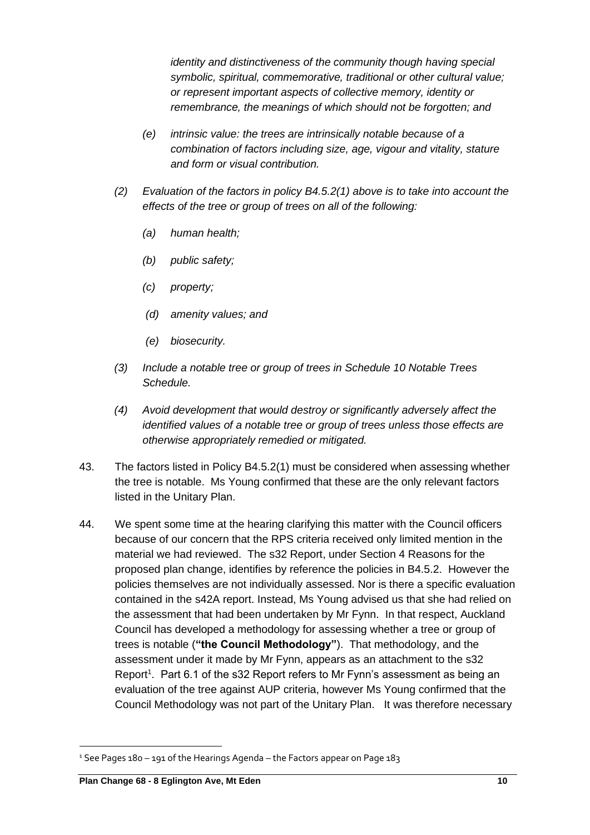*identity and distinctiveness of the community though having special symbolic, spiritual, commemorative, traditional or other cultural value; or represent important aspects of collective memory, identity or remembrance, the meanings of which should not be forgotten; and* 

- *(e) intrinsic value: the trees are intrinsically notable because of a combination of factors including size, age, vigour and vitality, stature and form or visual contribution.*
- *(2) Evaluation of the factors in policy B4.5.2(1) above is to take into account the effects of the tree or group of trees on all of the following:* 
	- *(a) human health;*
	- *(b) public safety;*
	- *(c) property;*
	- *(d) amenity values; and*
	- *(e) biosecurity.*
- *(3) Include a notable tree or group of trees in Schedule 10 Notable Trees Schedule.*
- *(4) Avoid development that would destroy or significantly adversely affect the identified values of a notable tree or group of trees unless those effects are otherwise appropriately remedied or mitigated.*
- 43. The factors listed in Policy B4.5.2(1) must be considered when assessing whether the tree is notable. Ms Young confirmed that these are the only relevant factors listed in the Unitary Plan.
- 44. We spent some time at the hearing clarifying this matter with the Council officers because of our concern that the RPS criteria received only limited mention in the material we had reviewed. The s32 Report, under Section 4 Reasons for the proposed plan change, identifies by reference the policies in B4.5.2. However the policies themselves are not individually assessed. Nor is there a specific evaluation contained in the s42A report. Instead, Ms Young advised us that she had relied on the assessment that had been undertaken by Mr Fynn. In that respect, Auckland Council has developed a methodology for assessing whether a tree or group of trees is notable (**"the Council Methodology"**). That methodology, and the assessment under it made by Mr Fynn, appears as an attachment to the s32 Report<sup>1</sup>. Part 6.1 of the s32 Report refers to Mr Fynn's assessment as being an evaluation of the tree against AUP criteria, however Ms Young confirmed that the Council Methodology was not part of the Unitary Plan. It was therefore necessary

<sup>1</sup> See Pages 180 – 191 of the Hearings Agenda – the Factors appear on Page 183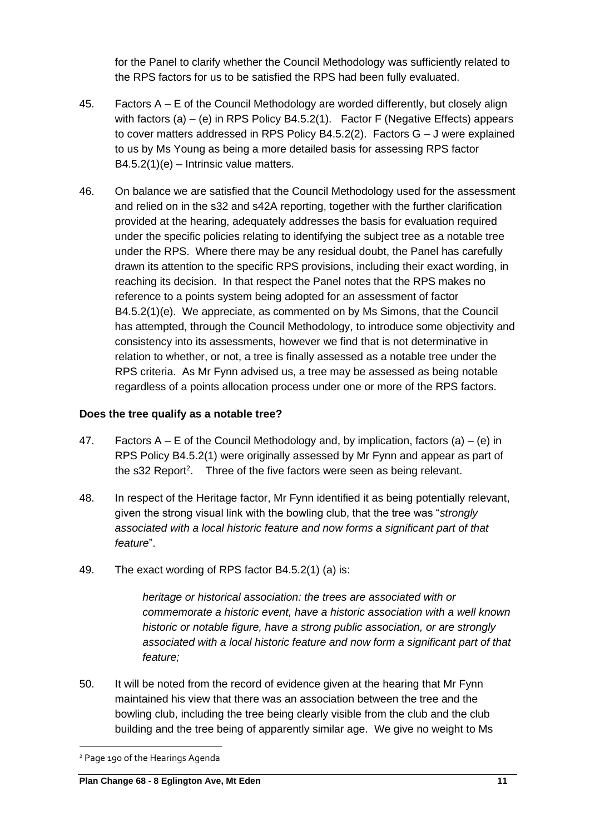for the Panel to clarify whether the Council Methodology was sufficiently related to the RPS factors for us to be satisfied the RPS had been fully evaluated.

- 45. Factors A E of the Council Methodology are worded differently, but closely align with factors  $(a) - (e)$  in RPS Policy B4.5.2(1). Factor F (Negative Effects) appears to cover matters addressed in RPS Policy B4.5.2(2). Factors G – J were explained to us by Ms Young as being a more detailed basis for assessing RPS factor B4.5.2(1)(e) – Intrinsic value matters.
- 46. On balance we are satisfied that the Council Methodology used for the assessment and relied on in the s32 and s42A reporting, together with the further clarification provided at the hearing, adequately addresses the basis for evaluation required under the specific policies relating to identifying the subject tree as a notable tree under the RPS. Where there may be any residual doubt, the Panel has carefully drawn its attention to the specific RPS provisions, including their exact wording, in reaching its decision. In that respect the Panel notes that the RPS makes no reference to a points system being adopted for an assessment of factor B4.5.2(1)(e). We appreciate, as commented on by Ms Simons, that the Council has attempted, through the Council Methodology, to introduce some objectivity and consistency into its assessments, however we find that is not determinative in relation to whether, or not, a tree is finally assessed as a notable tree under the RPS criteria. As Mr Fynn advised us, a tree may be assessed as being notable regardless of a points allocation process under one or more of the RPS factors.

### **Does the tree qualify as a notable tree?**

- 47. Factors  $A E$  of the Council Methodology and, by implication, factors (a) (e) in RPS Policy B4.5.2(1) were originally assessed by Mr Fynn and appear as part of the s32 Report<sup>2</sup>. Three of the five factors were seen as being relevant.
- 48. In respect of the Heritage factor, Mr Fynn identified it as being potentially relevant, given the strong visual link with the bowling club, that the tree was "*strongly associated with a local historic feature and now forms a significant part of that feature*".
- 49. The exact wording of RPS factor B4.5.2(1) (a) is:

*heritage or historical association: the trees are associated with or commemorate a historic event, have a historic association with a well known historic or notable figure, have a strong public association, or are strongly associated with a local historic feature and now form a significant part of that feature;*

50. It will be noted from the record of evidence given at the hearing that Mr Fynn maintained his view that there was an association between the tree and the bowling club, including the tree being clearly visible from the club and the club building and the tree being of apparently similar age. We give no weight to Ms

<sup>2</sup> Page 190 of the Hearings Agenda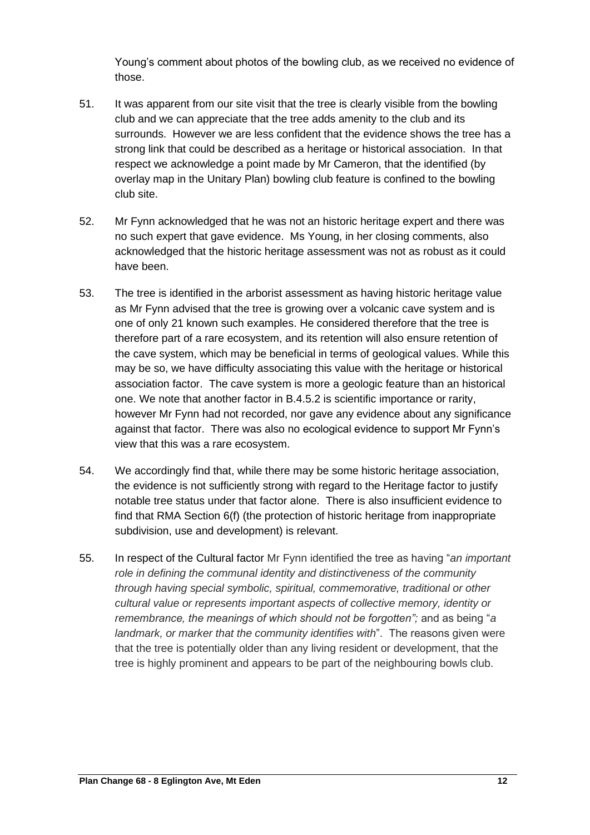Young's comment about photos of the bowling club, as we received no evidence of those.

- 51. It was apparent from our site visit that the tree is clearly visible from the bowling club and we can appreciate that the tree adds amenity to the club and its surrounds. However we are less confident that the evidence shows the tree has a strong link that could be described as a heritage or historical association. In that respect we acknowledge a point made by Mr Cameron, that the identified (by overlay map in the Unitary Plan) bowling club feature is confined to the bowling club site.
- 52. Mr Fynn acknowledged that he was not an historic heritage expert and there was no such expert that gave evidence. Ms Young, in her closing comments, also acknowledged that the historic heritage assessment was not as robust as it could have been.
- 53. The tree is identified in the arborist assessment as having historic heritage value as Mr Fynn advised that the tree is growing over a volcanic cave system and is one of only 21 known such examples. He considered therefore that the tree is therefore part of a rare ecosystem, and its retention will also ensure retention of the cave system, which may be beneficial in terms of geological values. While this may be so, we have difficulty associating this value with the heritage or historical association factor. The cave system is more a geologic feature than an historical one. We note that another factor in B.4.5.2 is scientific importance or rarity, however Mr Fynn had not recorded, nor gave any evidence about any significance against that factor. There was also no ecological evidence to support Mr Fynn's view that this was a rare ecosystem.
- 54. We accordingly find that, while there may be some historic heritage association, the evidence is not sufficiently strong with regard to the Heritage factor to justify notable tree status under that factor alone. There is also insufficient evidence to find that RMA Section 6(f) (the protection of historic heritage from inappropriate subdivision, use and development) is relevant.
- 55. In respect of the Cultural factor Mr Fynn identified the tree as having "*an important role in defining the communal identity and distinctiveness of the community through having special symbolic, spiritual, commemorative, traditional or other cultural value or represents important aspects of collective memory, identity or remembrance, the meanings of which should not be forgotten";* and as being "*a landmark, or marker that the community identifies with*". The reasons given were that the tree is potentially older than any living resident or development, that the tree is highly prominent and appears to be part of the neighbouring bowls club.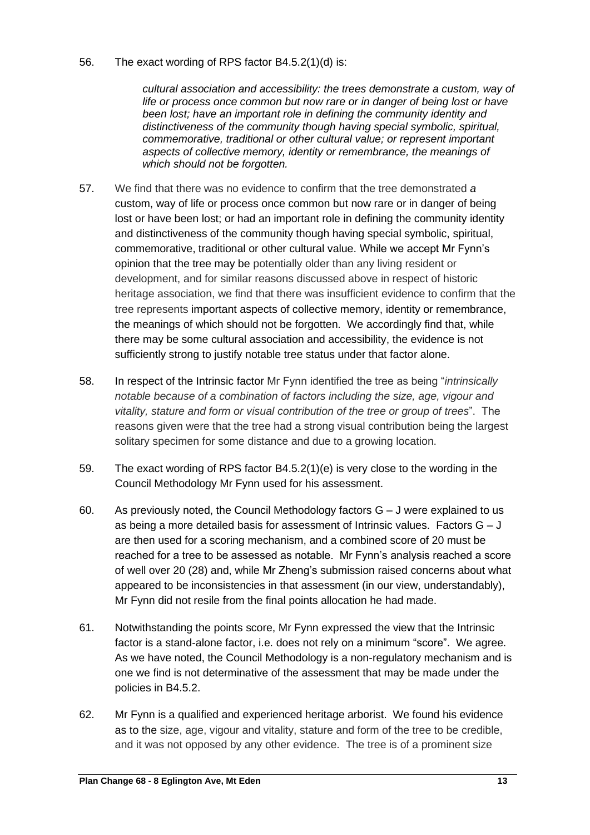#### 56. The exact wording of RPS factor B4.5.2(1)(d) is:

*cultural association and accessibility: the trees demonstrate a custom, way of life or process once common but now rare or in danger of being lost or have been lost; have an important role in defining the community identity and distinctiveness of the community though having special symbolic, spiritual, commemorative, traditional or other cultural value; or represent important aspects of collective memory, identity or remembrance, the meanings of which should not be forgotten.*

- 57. We find that there was no evidence to confirm that the tree demonstrated *a*  custom, way of life or process once common but now rare or in danger of being lost or have been lost; or had an important role in defining the community identity and distinctiveness of the community though having special symbolic, spiritual, commemorative, traditional or other cultural value. While we accept Mr Fynn's opinion that the tree may be potentially older than any living resident or development, and for similar reasons discussed above in respect of historic heritage association, we find that there was insufficient evidence to confirm that the tree represents important aspects of collective memory, identity or remembrance, the meanings of which should not be forgotten. We accordingly find that, while there may be some cultural association and accessibility, the evidence is not sufficiently strong to justify notable tree status under that factor alone.
- 58. In respect of the Intrinsic factor Mr Fynn identified the tree as being "*intrinsically notable because of a combination of factors including the size, age, vigour and vitality, stature and form or visual contribution of the tree or group of trees*". The reasons given were that the tree had a strong visual contribution being the largest solitary specimen for some distance and due to a growing location.
- 59. The exact wording of RPS factor B4.5.2(1)(e) is very close to the wording in the Council Methodology Mr Fynn used for his assessment.
- 60. As previously noted, the Council Methodology factors G J were explained to us as being a more detailed basis for assessment of Intrinsic values. Factors  $G - J$ are then used for a scoring mechanism, and a combined score of 20 must be reached for a tree to be assessed as notable. Mr Fynn's analysis reached a score of well over 20 (28) and, while Mr Zheng's submission raised concerns about what appeared to be inconsistencies in that assessment (in our view, understandably), Mr Fynn did not resile from the final points allocation he had made.
- 61. Notwithstanding the points score, Mr Fynn expressed the view that the Intrinsic factor is a stand-alone factor, i.e. does not rely on a minimum "score". We agree. As we have noted, the Council Methodology is a non-regulatory mechanism and is one we find is not determinative of the assessment that may be made under the policies in B4.5.2.
- 62. Mr Fynn is a qualified and experienced heritage arborist. We found his evidence as to the size, age, vigour and vitality, stature and form of the tree to be credible, and it was not opposed by any other evidence. The tree is of a prominent size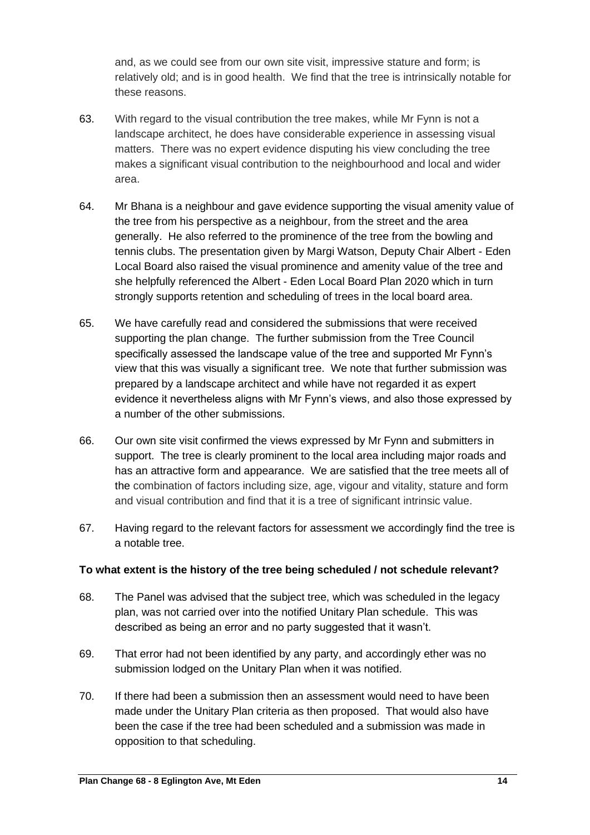and, as we could see from our own site visit, impressive stature and form; is relatively old; and is in good health. We find that the tree is intrinsically notable for these reasons.

- 63. With regard to the visual contribution the tree makes, while Mr Fynn is not a landscape architect, he does have considerable experience in assessing visual matters. There was no expert evidence disputing his view concluding the tree makes a significant visual contribution to the neighbourhood and local and wider area.
- 64. Mr Bhana is a neighbour and gave evidence supporting the visual amenity value of the tree from his perspective as a neighbour, from the street and the area generally. He also referred to the prominence of the tree from the bowling and tennis clubs. The presentation given by Margi Watson, Deputy Chair Albert - Eden Local Board also raised the visual prominence and amenity value of the tree and she helpfully referenced the Albert - Eden Local Board Plan 2020 which in turn strongly supports retention and scheduling of trees in the local board area.
- 65. We have carefully read and considered the submissions that were received supporting the plan change. The further submission from the Tree Council specifically assessed the landscape value of the tree and supported Mr Fynn's view that this was visually a significant tree. We note that further submission was prepared by a landscape architect and while have not regarded it as expert evidence it nevertheless aligns with Mr Fynn's views, and also those expressed by a number of the other submissions.
- 66. Our own site visit confirmed the views expressed by Mr Fynn and submitters in support. The tree is clearly prominent to the local area including major roads and has an attractive form and appearance. We are satisfied that the tree meets all of the combination of factors including size, age, vigour and vitality, stature and form and visual contribution and find that it is a tree of significant intrinsic value.
- 67. Having regard to the relevant factors for assessment we accordingly find the tree is a notable tree.

## **To what extent is the history of the tree being scheduled / not schedule relevant?**

- 68. The Panel was advised that the subject tree, which was scheduled in the legacy plan, was not carried over into the notified Unitary Plan schedule. This was described as being an error and no party suggested that it wasn't.
- 69. That error had not been identified by any party, and accordingly ether was no submission lodged on the Unitary Plan when it was notified.
- 70. If there had been a submission then an assessment would need to have been made under the Unitary Plan criteria as then proposed. That would also have been the case if the tree had been scheduled and a submission was made in opposition to that scheduling.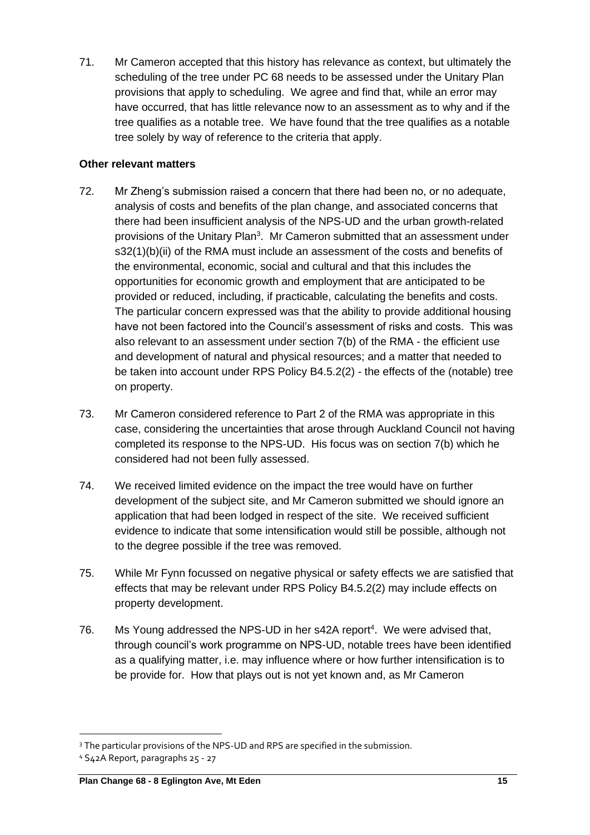71. Mr Cameron accepted that this history has relevance as context, but ultimately the scheduling of the tree under PC 68 needs to be assessed under the Unitary Plan provisions that apply to scheduling. We agree and find that, while an error may have occurred, that has little relevance now to an assessment as to why and if the tree qualifies as a notable tree. We have found that the tree qualifies as a notable tree solely by way of reference to the criteria that apply.

## **Other relevant matters**

- 72. Mr Zheng's submission raised a concern that there had been no, or no adequate, analysis of costs and benefits of the plan change, and associated concerns that there had been insufficient analysis of the NPS-UD and the urban growth-related provisions of the Unitary Plan<sup>3</sup>. Mr Cameron submitted that an assessment under s32(1)(b)(ii) of the RMA must include an assessment of the costs and benefits of the environmental, economic, social and cultural and that this includes the opportunities for economic growth and employment that are anticipated to be provided or reduced, including, if practicable, calculating the benefits and costs. The particular concern expressed was that the ability to provide additional housing have not been factored into the Council's assessment of risks and costs. This was also relevant to an assessment under section 7(b) of the RMA - the efficient use and development of natural and physical resources; and a matter that needed to be taken into account under RPS Policy B4.5.2(2) - the effects of the (notable) tree on property.
- 73. Mr Cameron considered reference to Part 2 of the RMA was appropriate in this case, considering the uncertainties that arose through Auckland Council not having completed its response to the NPS-UD. His focus was on section 7(b) which he considered had not been fully assessed.
- 74. We received limited evidence on the impact the tree would have on further development of the subject site, and Mr Cameron submitted we should ignore an application that had been lodged in respect of the site. We received sufficient evidence to indicate that some intensification would still be possible, although not to the degree possible if the tree was removed.
- 75. While Mr Fynn focussed on negative physical or safety effects we are satisfied that effects that may be relevant under RPS Policy B4.5.2(2) may include effects on property development.
- 76. Ms Young addressed the NPS-UD in her s42A report<sup>4</sup>. We were advised that, through council's work programme on NPS-UD, notable trees have been identified as a qualifying matter, i.e. may influence where or how further intensification is to be provide for. How that plays out is not yet known and, as Mr Cameron

<sup>&</sup>lt;sup>3</sup> The particular provisions of the NPS-UD and RPS are specified in the submission.

<sup>4</sup> S42A Report, paragraphs 25 - 27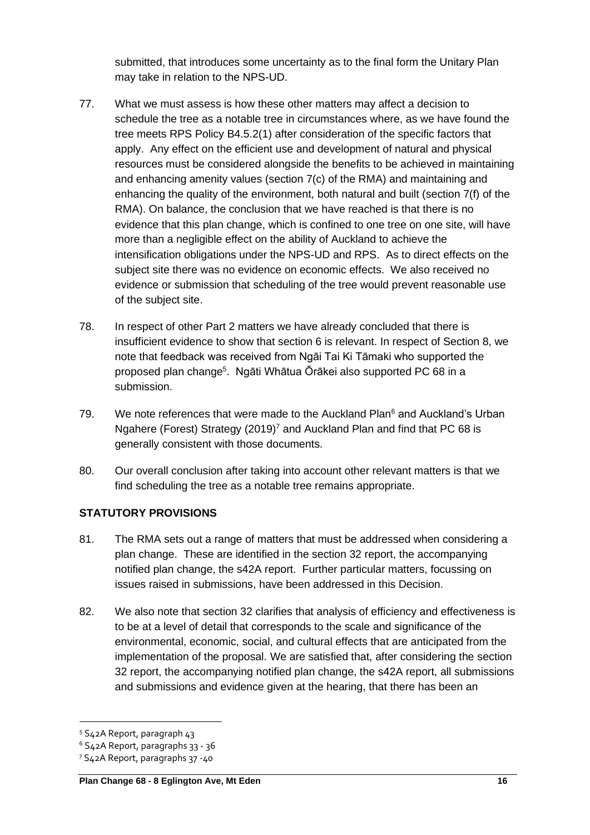submitted, that introduces some uncertainty as to the final form the Unitary Plan may take in relation to the NPS-UD.

- 77. What we must assess is how these other matters may affect a decision to schedule the tree as a notable tree in circumstances where, as we have found the tree meets RPS Policy B4.5.2(1) after consideration of the specific factors that apply. Any effect on the efficient use and development of natural and physical resources must be considered alongside the benefits to be achieved in maintaining and enhancing amenity values (section 7(c) of the RMA) and maintaining and enhancing the quality of the environment, both natural and built (section 7(f) of the RMA). On balance, the conclusion that we have reached is that there is no evidence that this plan change, which is confined to one tree on one site, will have more than a negligible effect on the ability of Auckland to achieve the intensification obligations under the NPS-UD and RPS. As to direct effects on the subject site there was no evidence on economic effects. We also received no evidence or submission that scheduling of the tree would prevent reasonable use of the subject site.
- 78. In respect of other Part 2 matters we have already concluded that there is insufficient evidence to show that section 6 is relevant. In respect of Section 8, we note that feedback was received from Ngāi Tai Ki Tāmaki who supported the proposed plan change<sup>5</sup>. Ngāti Whātua Ōrākei also supported PC 68 in a submission.
- 79. We note references that were made to the Auckland Plan $6$  and Auckland's Urban Ngahere (Forest) Strategy (2019)<sup>7</sup> and Auckland Plan and find that PC 68 is generally consistent with those documents.
- 80. Our overall conclusion after taking into account other relevant matters is that we find scheduling the tree as a notable tree remains appropriate.

## **STATUTORY PROVISIONS**

- 81. The RMA sets out a range of matters that must be addressed when considering a plan change. These are identified in the section 32 report, the accompanying notified plan change, the s42A report. Further particular matters, focussing on issues raised in submissions, have been addressed in this Decision.
- 82. We also note that section 32 clarifies that analysis of efficiency and effectiveness is to be at a level of detail that corresponds to the scale and significance of the environmental, economic, social, and cultural effects that are anticipated from the implementation of the proposal. We are satisfied that, after considering the section 32 report, the accompanying notified plan change, the s42A report, all submissions and submissions and evidence given at the hearing, that there has been an

<sup>5</sup> S42A Report, paragraph 43

 $6$  S42A Report, paragraphs 33 - 36

<sup>7</sup> S42A Report, paragraphs 37 -40